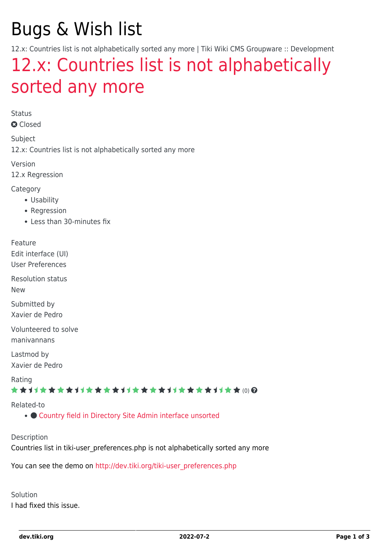# Bugs & Wish list

12.x: Countries list is not alphabetically sorted any more | Tiki Wiki CMS Groupware :: Development

## [12.x: Countries list is not alphabetically](https://dev.tiki.org/item4954-12-x-Countries-list-is-not-alphabetically-sorted-any-more) [sorted any more](https://dev.tiki.org/item4954-12-x-Countries-list-is-not-alphabetically-sorted-any-more)

Status

**a** Closed

Subject

12.x: Countries list is not alphabetically sorted any more

Version

12.x Regression

Category

- Usability
- Regression
- Less than 30-minutes fix

Feature

Edit interface (UI)

User Preferences

Resolution status New

Submitted by

Xavier de Pedro

Volunteered to solve manivannans

Lastmod by Xavier de Pedro

Rating

#### ★★11★★★★11★★★★11★★★★11★★★★+11★★ (0) @

#### Related-to

• [Country field in Directory Site Admin interface unsorted](https://dev.tiki.org/item5767-Country-field-in-Directory-Site-Admin-interface-unsorted)

Description

Countries list in tiki-user\_preferences.php is not alphabetically sorted any more

You can see the demo on [http://dev.tiki.org/tiki-user\\_preferences.php](http://dev.tiki.org/tiki-user_preferences.php)

Solution I had fixed this issue.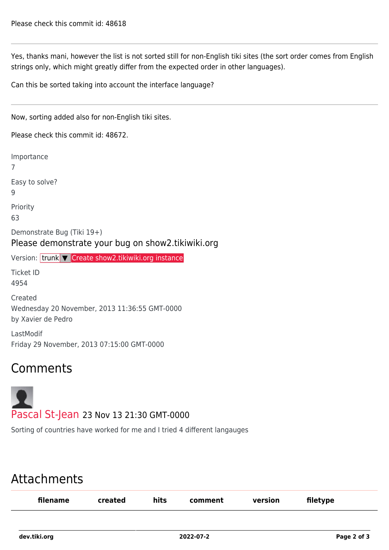Yes, thanks mani, however the list is not sorted still for non-English tiki sites (the sort order comes from English strings only, which might greatly differ from the expected order in other languages).

Can this be sorted taking into account the interface language?

Now, sorting added also for non-English tiki sites.

Please check this commit id: 48672.

Importance 7 Easy to solve? 9 Priority 63 Demonstrate Bug (Tiki 19+) Please demonstrate your bug on show2.tikiwiki.org Version: trunk ▼ [Create show2.tikiwiki.org instance](#page--1-0) Ticket ID 4954 Created Wednesday 20 November, 2013 11:36:55 GMT-0000 by Xavier de Pedro LastModif Friday 29 November, 2013 07:15:00 GMT-0000

### Comments



Sorting of countries have worked for me and I tried 4 different langauges

## Attachments

| filename | created | hits | comment | version | filetype |  |
|----------|---------|------|---------|---------|----------|--|
|          |         |      |         |         |          |  |